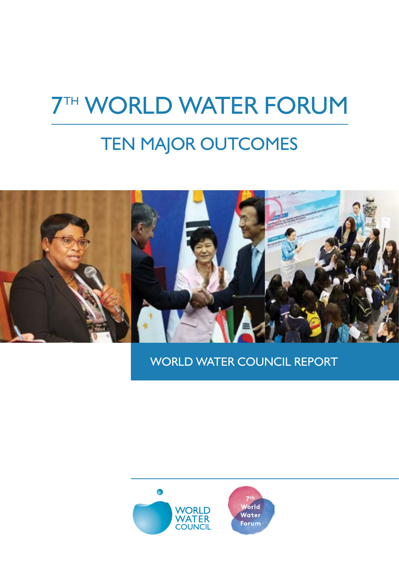# **7TH WORLD WATER FORUM**

## TEN MAJOR OUTCOMES



WORLD WATER COUNCIL REPORT

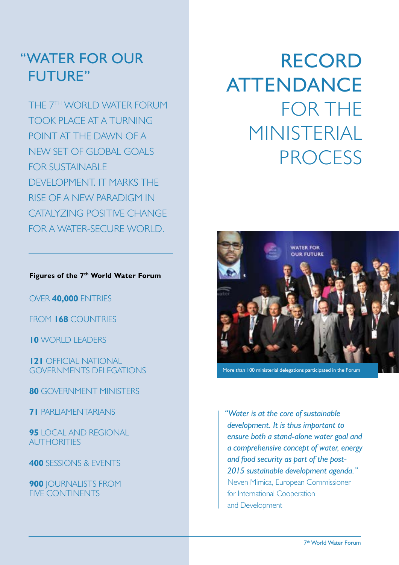#### "WATER FOR OUR FUTURE"

THE 7TH WORLD WATER FORUM TOOK PLACE AT A TURNING POINT AT THE DAWN OF A NEW SET OF GLOBAL GOALS FOR SUSTAINABLE DEVELOPMENT. IT MARKS THE RISE OF A NEW PARADIGM IN CATALYZING POSITIVE CHANGE FOR A WATER-SECURE WORLD.

#### **Figures of the 7th World Water Forum**

OVER **40,000** ENTRIES

FROM **168** COUNTRIES

**10** WORLD LEADERS

**121** OFFICIAL NATIONAL GOVERNMENTS DELEGATIONS

**80** GOVERNMENT MINISTERS

**71** PARLIAMENTARIANS

**95** LOCAL AND REGIONAL AUTHORITIES

**400** SESSIONS & EVENTS

**900** JOURNALISTS FROM FIVE CONTINENTS

## RECORD ATTENDANCE FOR THE MINISTERIAL **PROCESS**



More than 100 ministerial delegations participated in the Forum

*"Water is at the core of sustainable development. It is thus important to ensure both a stand-alone water goal and a comprehensive concept of water, energy and food security as part of the post-2015 sustainable development agenda."*  Neven Mimica, European Commissioner for International Cooperation and Development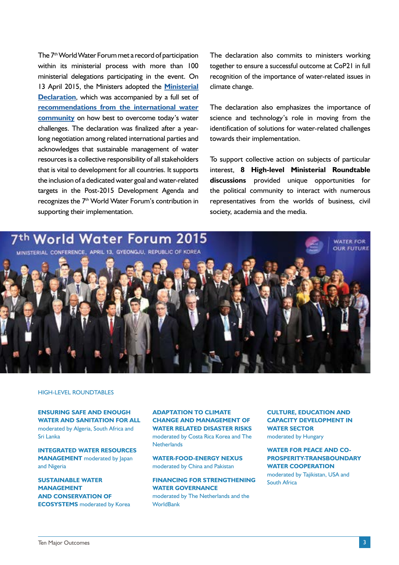The 7<sup>th</sup> World Water Forum met a record of participation within its ministerial process with more than 100 ministerial delegations participating in the event. On 13 April 2015, the Ministers adopted the **[Ministerial](http://www.worldwatercouncil.org/fileadmin/world_water_council/documents/publications/forum_documents/Ministerial%20Declaration%20%207th%20World%20Water%20Forum%20Final.pdf) [Declaration](http://www.worldwatercouncil.org/fileadmin/world_water_council/documents/publications/forum_documents/Ministerial%20Declaration%20%207th%20World%20Water%20Forum%20Final.pdf)**, which was accompanied by a full set of **[recommendations from the international water](http://www.worldwatercouncil.org/fileadmin/world_water_council/documents/publications/forum_documents/Daegu_Gyeongbuk%20Recommendations%20to%20the%20Ministers%20at%20the%207th%20World%20Water%20....pdf) [community](http://www.worldwatercouncil.org/fileadmin/world_water_council/documents/publications/forum_documents/Daegu_Gyeongbuk%20Recommendations%20to%20the%20Ministers%20at%20the%207th%20World%20Water%20....pdf)** on how best to overcome today's water challenges. The declaration was finalized after a yearlong negotiation among related international parties and acknowledges that sustainable management of water resources is a collective responsibility of all stakeholders that is vital to development for all countries. It supports the inclusion of a dedicated water goal and water-related targets in the Post-2015 Development Agenda and recognizes the 7<sup>th</sup> World Water Forum's contribution in supporting their implementation.

The declaration also commits to ministers working together to ensure a successful outcome at CoP21 in full recognition of the importance of water-related issues in climate change.

The declaration also emphasizes the importance of science and technology's role in moving from the identification of solutions for water-related challenges towards their implementation.

To support collective action on subjects of particular interest, **8 High-level Ministerial Roundtable discussions** provided unique opportunities for the political community to interact with numerous representatives from the worlds of business, civil society, academia and the media.



#### HIGH-LEVEL ROUNDTABLES

**ENSURING SAFE AND ENOUGH WATER AND SANITATION FOR ALL** moderated by Algeria, South Africa and Sri Lanka

**INTEGRATED WATER RESOURCES MANAGEMENT** moderated by Japan and Nigeria

**SUSTAINABLE WATER MANAGEMENT AND CONSERVATION OF ECOSYSTEMS** moderated by Korea **ADAPTATION TO CLIMATE CHANGE AND MANAGEMENT OF WATER RELATED DISASTER RISKS**  moderated by Costa Rica Korea and The **Netherlands** 

**WATER-FOOD-ENERGY NEXUS**  moderated by China and Pakistan

**FINANCING FOR STRENGTHENING WATER GOVERNANCE** moderated by The Netherlands and the **WorldBank** 

**CULTURE, EDUCATION AND CAPACITY DEVELOPMENT IN WATER SECTOR**

moderated by Hungary

**WATER FOR PEACE AND CO-PROSPERITY-TRANSBOUNDARY WATER COOPERATION**  moderated by Tajikistan, USA and South Africa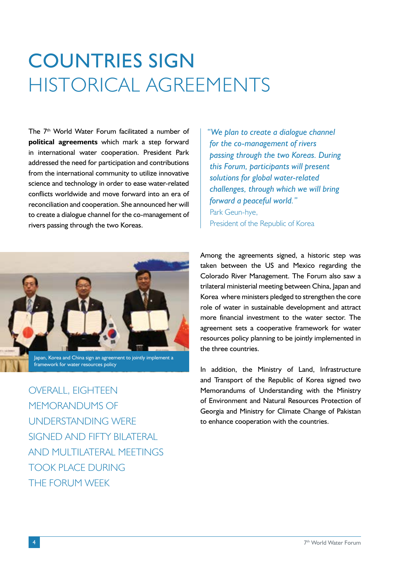## COUNTRIES SIGN HISTORICAL AGREEMENTS

The 7<sup>th</sup> World Water Forum facilitated a number of **political agreements** which mark a step forward in international water cooperation. President Park addressed the need for participation and contributions from the international community to utilize innovative science and technology in order to ease water-related conflicts worldwide and move forward into an era of reconciliation and cooperation. She announced her will to create a dialogue channel for the co-management of rivers passing through the two Koreas.



Japan, Korea and China sign an agreement to jointly implement a framework for water resources policy

OVERALL, EIGHTEEN MEMORANDUMS OF UNDERSTANDING WERE SIGNED AND FIFTY BILATERAL AND MULTILATERAL MEETINGS TOOK PLACE DURING THE FORUM WEEK

*"We plan to create a dialogue channel for the co-management of rivers passing through the two Koreas. During this Forum, participants will present solutions for global water-related challenges, through which we will bring forward a peaceful world."*  Park Geun-hye, President of the Republic of Korea

Among the agreements signed, a historic step was taken between the US and Mexico regarding the Colorado River Management. The Forum also saw a trilateral ministerial meeting between China, Japan and Korea where ministers pledged to strengthen the core role of water in sustainable development and attract more financial investment to the water sector. The agreement sets a cooperative framework for water resources policy planning to be jointly implemented in the three countries.

In addition, the Ministry of Land, Infrastructure and Transport of the Republic of Korea signed two Memorandums of Understanding with the Ministry of Environment and Natural Resources Protection of Georgia and Ministry for Climate Change of Pakistan to enhance cooperation with the countries.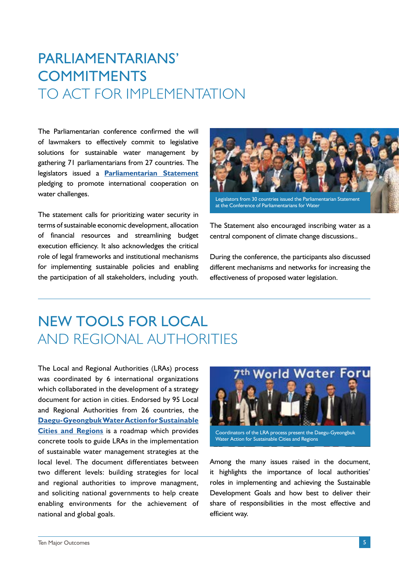### PARLIAMENTARIANS' **COMMITMENTS** TO ACT FOR IMPLEMENTATION

The Parliamentarian conference confirmed the will of lawmakers to effectively commit to legislative solutions for sustainable water management by gathering 71 parliamentarians from 27 countries. The legislators issued a **[Parliamentarian Statement](http://www.worldwatercouncil.org/fileadmin/world_water_council/documents/publications/forum_documents/Parliamentarian%20Statement.pdf)**  pledging to promote international cooperation on water challenges.

The statement calls for prioritizing water security in terms of sustainable economic development, allocation of financial resources and streamlining budget execution efficiency. It also acknowledges the critical role of legal frameworks and institutional mechanisms for implementing sustainable policies and enabling the participation of all stakeholders, including youth.



The Statement also encouraged inscribing water as a central component of climate change discussions..

During the conference, the participants also discussed different mechanisms and networks for increasing the effectiveness of proposed water legislation.

#### NEW TOOLS FOR LOCAL AND REGIONAL AUTHORITIES

The Local and Regional Authorities (LRAs) process was coordinated by 6 international organizations which collaborated in the development of a strategy document for action in cities. Endorsed by 95 Local and Regional Authorities from 26 countries, the **[Daegu-Gyeongbuk Water Action for Sustainable](http://www.worldwatercouncil.org/fileadmin/world_water_council/documents/publications/forum_documents/Pages%20de%20LRA_Daegu%20Gyeongbuk%20Water%20Action_2015_EN.pdf) [Cities and Regions](http://www.worldwatercouncil.org/fileadmin/world_water_council/documents/publications/forum_documents/Pages%20de%20LRA_Daegu%20Gyeongbuk%20Water%20Action_2015_EN.pdf)** is a roadmap which provides concrete tools to guide LRAs in the implementation of sustainable water management strategies at the local level. The document differentiates between two different levels: building strategies for local and regional authorities to improve managment, and soliciting national governments to help create enabling environments for the achievement of national and global goals.



Coordinators of the LRA process present the Daegu-Gyeongbuk Water Action for Sustainable Cities and Regions

Among the many issues raised in the document, it highlights the importance of local authorities' roles in implementing and achieving the Sustainable Development Goals and how best to deliver their share of responsibilities in the most effective and efficient way.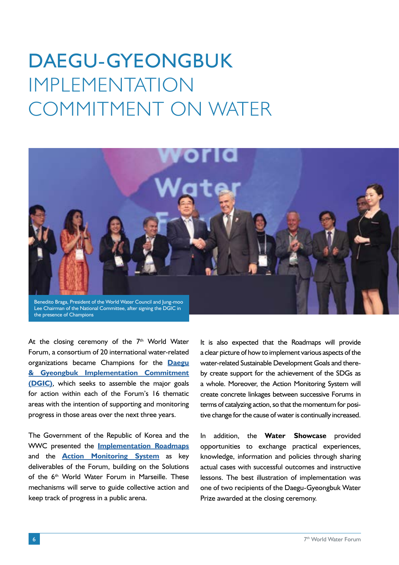# DAEGU-GYEONGBUK IMPI EMENTATION COMMITMENT ON WATER



At the closing ceremony of the 7<sup>th</sup> World Water Forum, a consortium of 20 international water-related organizations became Champions for the **[Daegu](http://www.worldwatercouncil.org/fileadmin/world_water_council/documents/publications/forum_documents/DGIC_17APR2015_signature_FIN.pdf) [& Gyeongbuk Implementation Commitment](http://www.worldwatercouncil.org/fileadmin/world_water_council/documents/publications/forum_documents/DGIC_17APR2015_signature_FIN.pdf) [\(DGIC\)](http://www.worldwatercouncil.org/fileadmin/world_water_council/documents/publications/forum_documents/DGIC_17APR2015_signature_FIN.pdf)**, which seeks to assemble the major goals for action within each of the Forum's 16 thematic areas with the intention of supporting and monitoring progress in those areas over the next three years.

The Government of the Republic of Korea and the WWC presented the **[Implementation Roadmaps](https://www.youtube.com/watch?v=D05NVzZjxgA&feature=youtu.be)** and the **[Action Monitoring System](http://ams.worldwaterforum7.org/)** as key deliverables of the Forum, building on the Solutions of the 6<sup>th</sup> World Water Forum in Marseille. These mechanisms will serve to guide collective action and keep track of progress in a public arena.

It is also expected that the Roadmaps will provide a clear picture of how to implement various aspects of the water-related Sustainable Development Goals and thereby create support for the achievement of the SDGs as a whole. Moreover, the Action Monitoring System will create concrete linkages between successive Forums in terms of catalyzing action, so that the momentum for positive change for the cause of water is continually increased.

In addition, the **Water Showcase** provided opportunities to exchange practical experiences, knowledge, information and policies through sharing actual cases with successful outcomes and instructive lessons. The best illustration of implementation was one of two recipients of the Daegu-Gyeongbuk Water Prize awarded at the closing ceremony.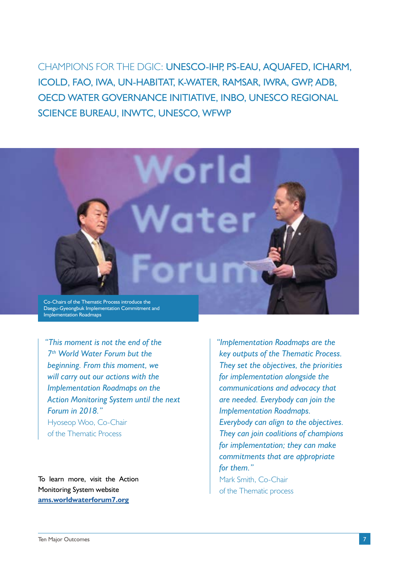CHAMPIONS FOR THE DGIC: UNESCO-IHP, PS-EAU, AQUAFED, ICHARM, ICOLD, FAO, IWA, UN-HABITAT, K-WATER, RAMSAR, IWRA, GWP, ADB, OECD WATER GOVERNANCE INITIATIVE, INBO, UNESCO REGIONAL SCIENCE BUREAU, INWTC, UNESCO, WFWP



*"This moment is not the end of the 7th World Water Forum but the beginning. From this moment, we will carry out our actions with the Implementation Roadmaps on the Action Monitoring System until the next Forum in 2018."*  Hyoseop Woo, Co-Chair of the Thematic Process

To learn more, visit the Action Monitoring System website **[ams.worldwaterforum7.org](http://ams.worldwaterforum7.org/)**

*"Implementation Roadmaps are the key outputs of the Thematic Process. They set the objectives, the priorities for implementation alongside the communications and advocacy that are needed. Everybody can join the Implementation Roadmaps. Everybody can align to the objectives. They can join coalitions of champions for implementation; they can make commitments that are appropriate for them."*  Mark Smith, Co-Chair of the Thematic process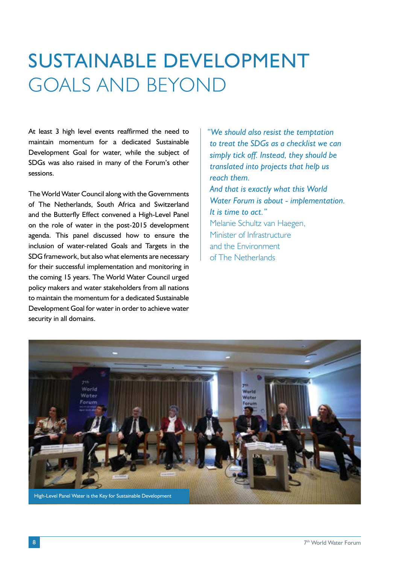## SUSTAINABLE DEVELOPMENT GOALS AND BEYOND

At least 3 high level events reaffirmed the need to maintain momentum for a dedicated Sustainable Development Goal for water, while the subject of SDGs was also raised in many of the Forum's other sessions.

The World Water Council along with the Governments of The Netherlands, South Africa and Switzerland and the Butterfly Effect convened a High-Level Panel on the role of water in the post-2015 development agenda. This panel discussed how to ensure the inclusion of water-related Goals and Targets in the SDG framework, but also what elements are necessary for their successful implementation and monitoring in the coming 15 years. The World Water Council urged policy makers and water stakeholders from all nations to maintain the momentum for a dedicated Sustainable Development Goal for water in order to achieve water security in all domains.

*"We should also resist the temptation to treat the SDGs as a checklist we can simply tick off. Instead, they should be translated into projects that help us reach them. And that is exactly what this World Water Forum is about - implementation. It is time to act."*  Melanie Schultz van Haegen, Minister of Infrastructure and the Environment of The Netherlands

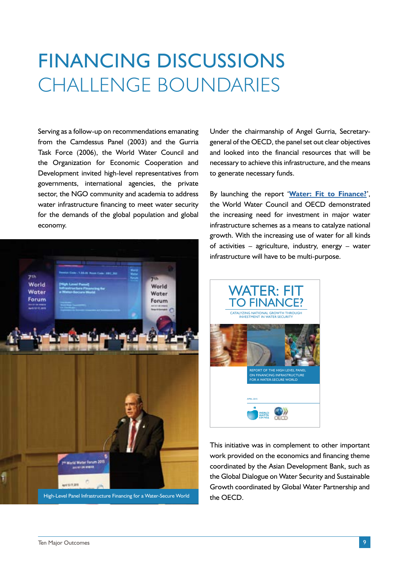## FINANCING DISCUSSIONS CHALLENGE BOUNDARIES

Serving as a follow-up on recommendations emanating from the Camdessus Panel (2003) and the Gurria Task Force (2006), the World Water Council and the Organization for Economic Cooperation and Development invited high-level representatives from governments, international agencies, the private sector, the NGO community and academia to address water infrastructure financing to meet water security for the demands of the global population and global economy.



High-Level Panel Infrastructure Financing for a Water-Secure World

Under the chairmanship of Angel Gurria, Secretarygeneral of the OECD, the panel set out clear objectives and looked into the financial resources that will be necessary to achieve this infrastructure, and the means to generate necessary funds.

By launching the report '**[Water: Fit to Finance?](http://www.worldwatercouncil.org/fileadmin/world_water_council/documents/publications/forum_documents/WWC_OECD_Water-fit-to-finance_Report.pdf)**', the World Water Council and OECD demonstrated the increasing need for investment in major water infrastructure schemes as a means to catalyze national growth. With the increasing use of water for all kinds of activities – agriculture, industry, energy – water infrastructure will have to be multi-purpose.



This initiative was in complement to other important work provided on the economics and financing theme coordinated by the Asian Development Bank, such as the Global Dialogue on Water Security and Sustainable Growth coordinated by Global Water Partnership and the OECD.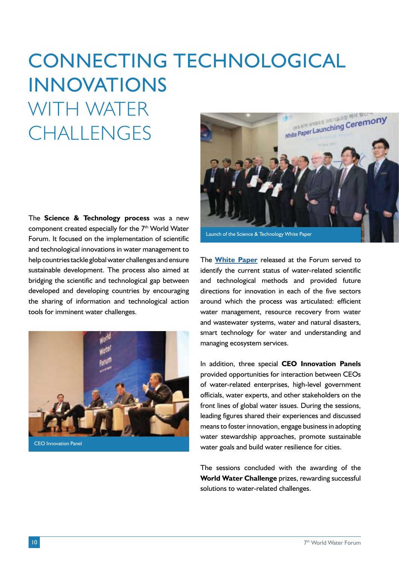# CONNECTING TECHNOLOGICAL INNOVATIONS WITH WATER **CHALLENGES**

The **Science & Technology process** was a new component created especially for the 7<sup>th</sup> World Water Forum. It focused on the implementation of scientific and technological innovations in water management to help countries tackle global water challenges and ensure sustainable development. The process also aimed at bridging the scientific and technological gap between developed and developing countries by encouraging the sharing of information and technological action tools for imminent water challenges.



CEO Innovation Panel



The **[White Paper](http://www.worldwatercouncil.org/fileadmin/world_water_council/documents/publications/forum_documents/7thWWF_White_Paper_ES.pdf)** released at the Forum served to identify the current status of water-related scientific and technological methods and provided future directions for innovation in each of the five sectors around which the process was articulated: efficient water management, resource recovery from water and wastewater systems, water and natural disasters, smart technology for water and understanding and managing ecosystem services.

In addition, three special **CEO Innovation Panels**  provided opportunities for interaction between CEOs of water-related enterprises, high-level government officials, water experts, and other stakeholders on the front lines of global water issues. During the sessions, leading figures shared their experiences and discussed means to foster innovation, engage business in adopting water stewardship approaches, promote sustainable water goals and build water resilience for cities.

The sessions concluded with the awarding of the **World Water Challenge** prizes, rewarding successful solutions to water-related challenges.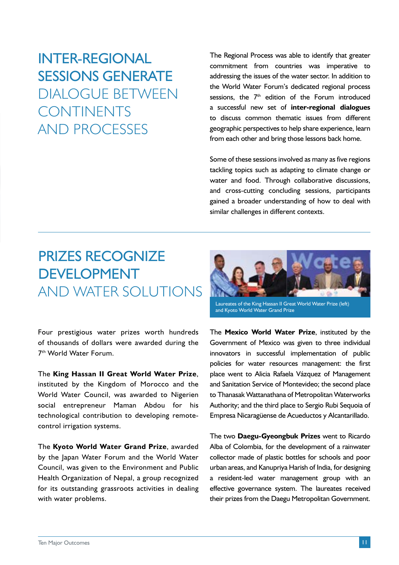### INTER-REGIONAL SESSIONS GENERATE DIALOGUE BETWEEN CONTINENTS AND PROCESSES

The Regional Process was able to identify that greater commitment from countries was imperative to addressing the issues of the water sector. In addition to the World Water Forum's dedicated regional process sessions, the 7<sup>th</sup> edition of the Forum introduced a successful new set of **inter-regional dialogues** to discuss common thematic issues from different geographic perspectives to help share experience, learn from each other and bring those lessons back home.

Some of these sessions involved as many as five regions tackling topics such as adapting to climate change or water and food. Through collaborative discussions, and cross-cutting concluding sessions, participants gained a broader understanding of how to deal with similar challenges in different contexts.

#### PRIZES RECOGNIZE DEVELOPMENT AND WATER SOLUTIONS

Four prestigious water prizes worth hundreds of thousands of dollars were awarded during the 7th World Water Forum.

The **King Hassan II Great World Water Prize**, instituted by the Kingdom of Morocco and the World Water Council, was awarded to Nigerien social entrepreneur Maman Abdou for his technological contribution to developing remotecontrol irrigation systems.

The **Kyoto World Water Grand Prize**, awarded by the Japan Water Forum and the World Water Council, was given to the Environment and Public Health Organization of Nepal, a group recognized for its outstanding grassroots activities in dealing with water problems.



Laureates of the King Hassan II Great World Water Prize (left) and Kyoto World Water Grand Prize

The **Mexico World Water Prize**, instituted by the Government of Mexico was given to three individual innovators in successful implementation of public policies for water resources management: the first place went to Alicia Rafaela Vázquez of Management and Sanitation Service of Montevideo; the second place to Thanasak Wattanathana of Metropolitan Waterworks Authority; and the third place to Sergio Rubi Sequoia of Empresa Nicaragüense de Acueductos y Alcantarillado.

The two **Daegu-Gyeongbuk Prizes** went to Ricardo Alba of Colombia, for the development of a rainwater collector made of plastic bottles for schools and poor urban areas, and Kanupriya Harish of India, for designing a resident-led water management group with an effective governance system. The laureates received their prizes from the Daegu Metropolitan Government.